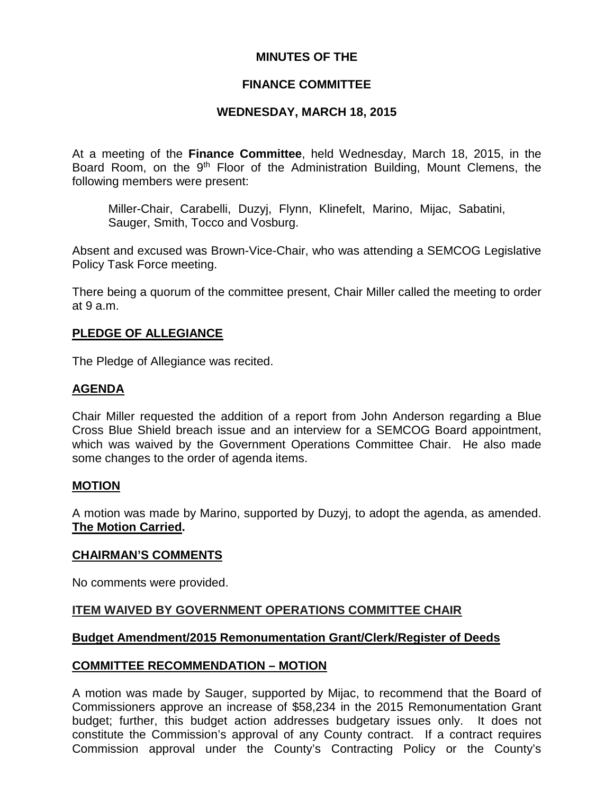## **MINUTES OF THE**

## **FINANCE COMMITTEE**

## **WEDNESDAY, MARCH 18, 2015**

At a meeting of the **Finance Committee**, held Wednesday, March 18, 2015, in the Board Room, on the 9<sup>th</sup> Floor of the Administration Building, Mount Clemens, the following members were present:

Miller-Chair, Carabelli, Duzyj, Flynn, Klinefelt, Marino, Mijac, Sabatini, Sauger, Smith, Tocco and Vosburg.

Absent and excused was Brown-Vice-Chair, who was attending a SEMCOG Legislative Policy Task Force meeting.

There being a quorum of the committee present, Chair Miller called the meeting to order at 9 a.m.

### **PLEDGE OF ALLEGIANCE**

The Pledge of Allegiance was recited.

### **AGENDA**

Chair Miller requested the addition of a report from John Anderson regarding a Blue Cross Blue Shield breach issue and an interview for a SEMCOG Board appointment, which was waived by the Government Operations Committee Chair. He also made some changes to the order of agenda items.

#### **MOTION**

A motion was made by Marino, supported by Duzyj, to adopt the agenda, as amended. **The Motion Carried.**

#### **CHAIRMAN'S COMMENTS**

No comments were provided.

#### **ITEM WAIVED BY GOVERNMENT OPERATIONS COMMITTEE CHAIR**

#### **Budget Amendment/2015 Remonumentation Grant/Clerk/Register of Deeds**

#### **COMMITTEE RECOMMENDATION – MOTION**

A motion was made by Sauger, supported by Mijac, to recommend that the Board of Commissioners approve an increase of \$58,234 in the 2015 Remonumentation Grant budget; further, this budget action addresses budgetary issues only. It does not constitute the Commission's approval of any County contract. If a contract requires Commission approval under the County's Contracting Policy or the County's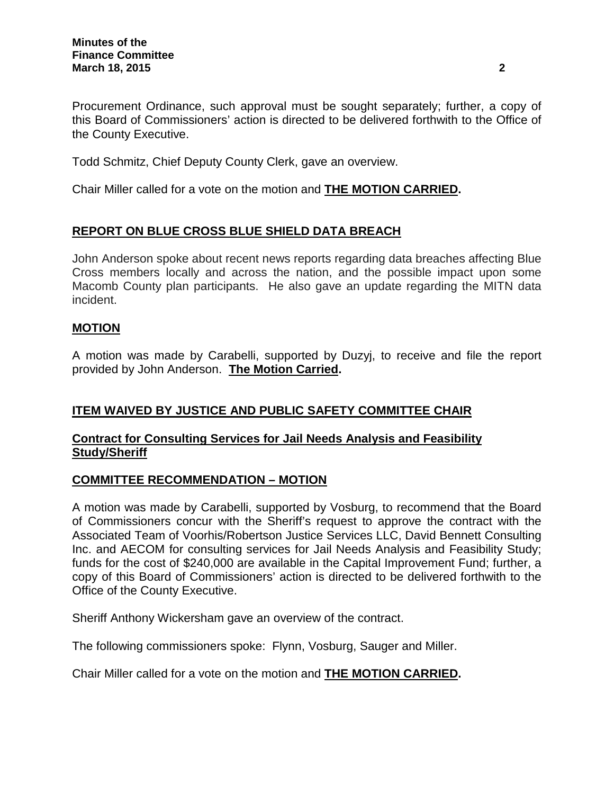Procurement Ordinance, such approval must be sought separately; further, a copy of this Board of Commissioners' action is directed to be delivered forthwith to the Office of the County Executive.

Todd Schmitz, Chief Deputy County Clerk, gave an overview.

Chair Miller called for a vote on the motion and **THE MOTION CARRIED.**

# **REPORT ON BLUE CROSS BLUE SHIELD DATA BREACH**

John Anderson spoke about recent news reports regarding data breaches affecting Blue Cross members locally and across the nation, and the possible impact upon some Macomb County plan participants. He also gave an update regarding the MITN data incident.

### **MOTION**

A motion was made by Carabelli, supported by Duzyj, to receive and file the report provided by John Anderson. **The Motion Carried.**

## **ITEM WAIVED BY JUSTICE AND PUBLIC SAFETY COMMITTEE CHAIR**

### **Contract for Consulting Services for Jail Needs Analysis and Feasibility Study/Sheriff**

#### **COMMITTEE RECOMMENDATION – MOTION**

A motion was made by Carabelli, supported by Vosburg, to recommend that the Board of Commissioners concur with the Sheriff's request to approve the contract with the Associated Team of Voorhis/Robertson Justice Services LLC, David Bennett Consulting Inc. and AECOM for consulting services for Jail Needs Analysis and Feasibility Study; funds for the cost of \$240,000 are available in the Capital Improvement Fund; further, a copy of this Board of Commissioners' action is directed to be delivered forthwith to the Office of the County Executive.

Sheriff Anthony Wickersham gave an overview of the contract.

The following commissioners spoke: Flynn, Vosburg, Sauger and Miller.

Chair Miller called for a vote on the motion and **THE MOTION CARRIED.**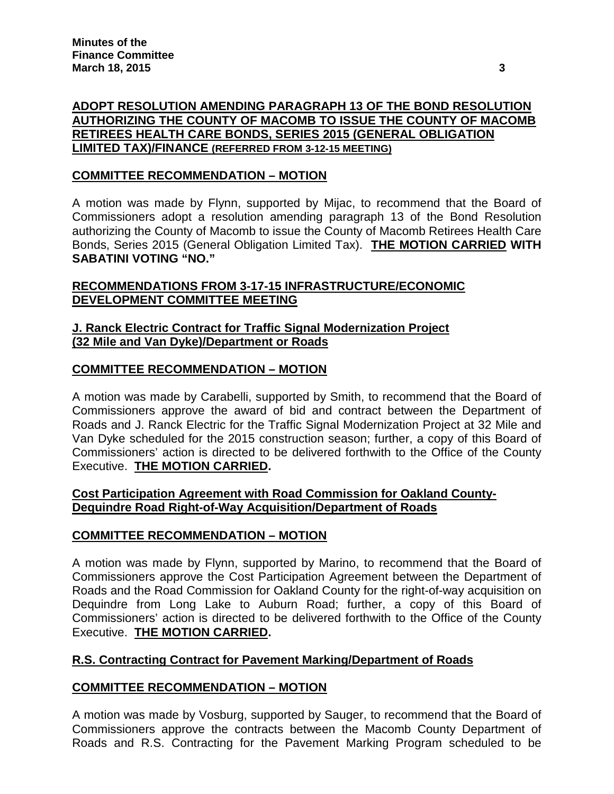# **ADOPT RESOLUTION AMENDING PARAGRAPH 13 OF THE BOND RESOLUTION AUTHORIZING THE COUNTY OF MACOMB TO ISSUE THE COUNTY OF MACOMB RETIREES HEALTH CARE BONDS, SERIES 2015 (GENERAL OBLIGATION LIMITED TAX)/FINANCE (REFERRED FROM 3-12-15 MEETING)**

# **COMMITTEE RECOMMENDATION – MOTION**

A motion was made by Flynn, supported by Mijac, to recommend that the Board of Commissioners adopt a resolution amending paragraph 13 of the Bond Resolution authorizing the County of Macomb to issue the County of Macomb Retirees Health Care Bonds, Series 2015 (General Obligation Limited Tax). **THE MOTION CARRIED WITH SABATINI VOTING "NO."**

## **RECOMMENDATIONS FROM 3-17-15 INFRASTRUCTURE/ECONOMIC DEVELOPMENT COMMITTEE MEETING**

# **J. Ranck Electric Contract for Traffic Signal Modernization Project (32 Mile and Van Dyke)/Department or Roads**

## **COMMITTEE RECOMMENDATION – MOTION**

A motion was made by Carabelli, supported by Smith, to recommend that the Board of Commissioners approve the award of bid and contract between the Department of Roads and J. Ranck Electric for the Traffic Signal Modernization Project at 32 Mile and Van Dyke scheduled for the 2015 construction season; further, a copy of this Board of Commissioners' action is directed to be delivered forthwith to the Office of the County Executive. **THE MOTION CARRIED.**

## **Cost Participation Agreement with Road Commission for Oakland County-Dequindre Road Right-of-Way Acquisition/Department of Roads**

## **COMMITTEE RECOMMENDATION – MOTION**

A motion was made by Flynn, supported by Marino, to recommend that the Board of Commissioners approve the Cost Participation Agreement between the Department of Roads and the Road Commission for Oakland County for the right-of-way acquisition on Dequindre from Long Lake to Auburn Road; further, a copy of this Board of Commissioners' action is directed to be delivered forthwith to the Office of the County Executive. **THE MOTION CARRIED.**

## **R.S. Contracting Contract for Pavement Marking/Department of Roads**

## **COMMITTEE RECOMMENDATION – MOTION**

A motion was made by Vosburg, supported by Sauger, to recommend that the Board of Commissioners approve the contracts between the Macomb County Department of Roads and R.S. Contracting for the Pavement Marking Program scheduled to be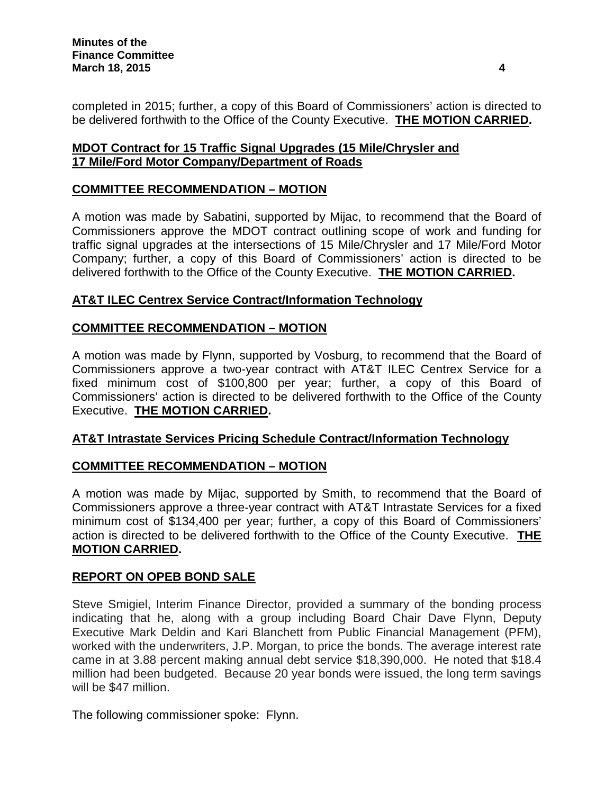completed in 2015; further, a copy of this Board of Commissioners' action is directed to be delivered forthwith to the Office of the County Executive. **THE MOTION CARRIED.**

# **MDOT Contract for 15 Traffic Signal Upgrades (15 Mile/Chrysler and 17 Mile/Ford Motor Company/Department of Roads**

# **COMMITTEE RECOMMENDATION – MOTION**

A motion was made by Sabatini, supported by Mijac, to recommend that the Board of Commissioners approve the MDOT contract outlining scope of work and funding for traffic signal upgrades at the intersections of 15 Mile/Chrysler and 17 Mile/Ford Motor Company; further, a copy of this Board of Commissioners' action is directed to be delivered forthwith to the Office of the County Executive. **THE MOTION CARRIED.**

## **AT&T ILEC Centrex Service Contract/Information Technology**

### **COMMITTEE RECOMMENDATION – MOTION**

A motion was made by Flynn, supported by Vosburg, to recommend that the Board of Commissioners approve a two-year contract with AT&T ILEC Centrex Service for a fixed minimum cost of \$100,800 per year; further, a copy of this Board of Commissioners' action is directed to be delivered forthwith to the Office of the County Executive. **THE MOTION CARRIED.**

## **AT&T Intrastate Services Pricing Schedule Contract/Information Technology**

## **COMMITTEE RECOMMENDATION – MOTION**

A motion was made by Mijac, supported by Smith, to recommend that the Board of Commissioners approve a three-year contract with AT&T Intrastate Services for a fixed minimum cost of \$134,400 per year; further, a copy of this Board of Commissioners' action is directed to be delivered forthwith to the Office of the County Executive. **THE MOTION CARRIED.**

#### **REPORT ON OPEB BOND SALE**

Steve Smigiel, Interim Finance Director, provided a summary of the bonding process indicating that he, along with a group including Board Chair Dave Flynn, Deputy Executive Mark Deldin and Kari Blanchett from Public Financial Management (PFM), worked with the underwriters, J.P. Morgan, to price the bonds. The average interest rate came in at 3.88 percent making annual debt service \$18,390,000. He noted that \$18.4 million had been budgeted. Because 20 year bonds were issued, the long term savings will be \$47 million.

The following commissioner spoke: Flynn.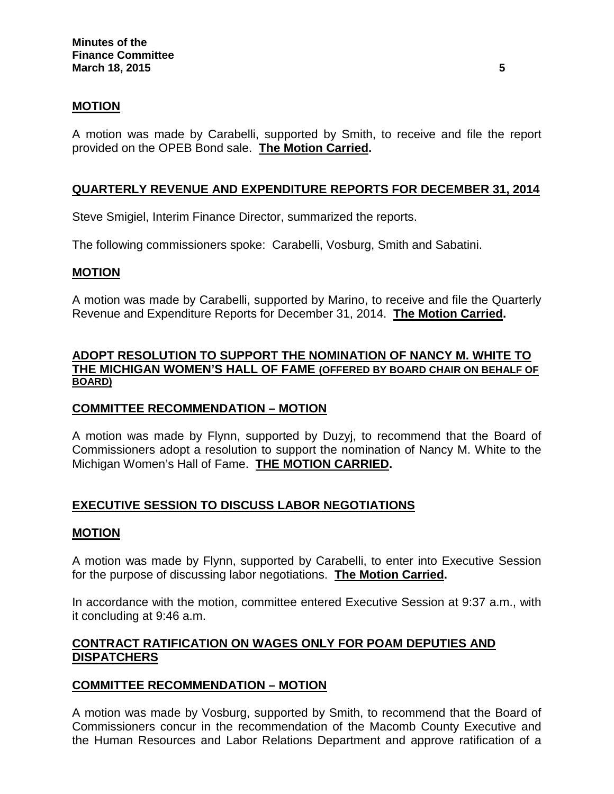## **MOTION**

A motion was made by Carabelli, supported by Smith, to receive and file the report provided on the OPEB Bond sale. **The Motion Carried.**

## **QUARTERLY REVENUE AND EXPENDITURE REPORTS FOR DECEMBER 31, 2014**

Steve Smigiel, Interim Finance Director, summarized the reports.

The following commissioners spoke: Carabelli, Vosburg, Smith and Sabatini.

### **MOTION**

A motion was made by Carabelli, supported by Marino, to receive and file the Quarterly Revenue and Expenditure Reports for December 31, 2014. **The Motion Carried.**

### **ADOPT RESOLUTION TO SUPPORT THE NOMINATION OF NANCY M. WHITE TO THE MICHIGAN WOMEN'S HALL OF FAME (OFFERED BY BOARD CHAIR ON BEHALF OF BOARD)**

#### **COMMITTEE RECOMMENDATION – MOTION**

A motion was made by Flynn, supported by Duzyj, to recommend that the Board of Commissioners adopt a resolution to support the nomination of Nancy M. White to the Michigan Women's Hall of Fame. **THE MOTION CARRIED.**

## **EXECUTIVE SESSION TO DISCUSS LABOR NEGOTIATIONS**

#### **MOTION**

A motion was made by Flynn, supported by Carabelli, to enter into Executive Session for the purpose of discussing labor negotiations. **The Motion Carried.**

In accordance with the motion, committee entered Executive Session at 9:37 a.m., with it concluding at 9:46 a.m.

## **CONTRACT RATIFICATION ON WAGES ONLY FOR POAM DEPUTIES AND DISPATCHERS**

## **COMMITTEE RECOMMENDATION – MOTION**

A motion was made by Vosburg, supported by Smith, to recommend that the Board of Commissioners concur in the recommendation of the Macomb County Executive and the Human Resources and Labor Relations Department and approve ratification of a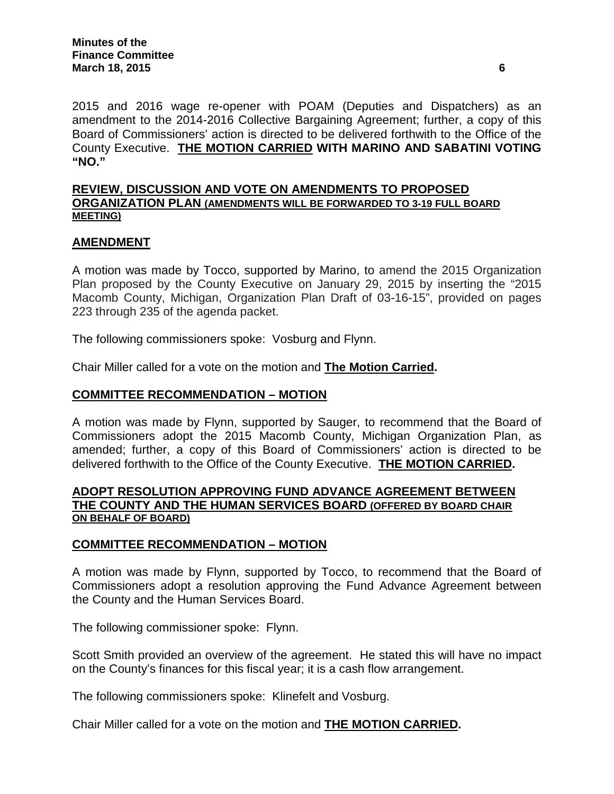2015 and 2016 wage re-opener with POAM (Deputies and Dispatchers) as an amendment to the 2014-2016 Collective Bargaining Agreement; further, a copy of this Board of Commissioners' action is directed to be delivered forthwith to the Office of the County Executive. **THE MOTION CARRIED WITH MARINO AND SABATINI VOTING "NO."**

## **REVIEW, DISCUSSION AND VOTE ON AMENDMENTS TO PROPOSED ORGANIZATION PLAN (AMENDMENTS WILL BE FORWARDED TO 3-19 FULL BOARD MEETING)**

### **AMENDMENT**

A motion was made by Tocco, supported by Marino, to amend the 2015 Organization Plan proposed by the County Executive on January 29, 2015 by inserting the "2015 Macomb County, Michigan, Organization Plan Draft of 03-16-15", provided on pages 223 through 235 of the agenda packet.

The following commissioners spoke: Vosburg and Flynn.

Chair Miller called for a vote on the motion and **The Motion Carried.**

### **COMMITTEE RECOMMENDATION – MOTION**

A motion was made by Flynn, supported by Sauger, to recommend that the Board of Commissioners adopt the 2015 Macomb County, Michigan Organization Plan, as amended; further, a copy of this Board of Commissioners' action is directed to be delivered forthwith to the Office of the County Executive. **THE MOTION CARRIED.**

#### **ADOPT RESOLUTION APPROVING FUND ADVANCE AGREEMENT BETWEEN THE COUNTY AND THE HUMAN SERVICES BOARD (OFFERED BY BOARD CHAIR ON BEHALF OF BOARD)**

#### **COMMITTEE RECOMMENDATION – MOTION**

A motion was made by Flynn, supported by Tocco, to recommend that the Board of Commissioners adopt a resolution approving the Fund Advance Agreement between the County and the Human Services Board.

The following commissioner spoke: Flynn.

Scott Smith provided an overview of the agreement. He stated this will have no impact on the County's finances for this fiscal year; it is a cash flow arrangement.

The following commissioners spoke: Klinefelt and Vosburg.

Chair Miller called for a vote on the motion and **THE MOTION CARRIED.**